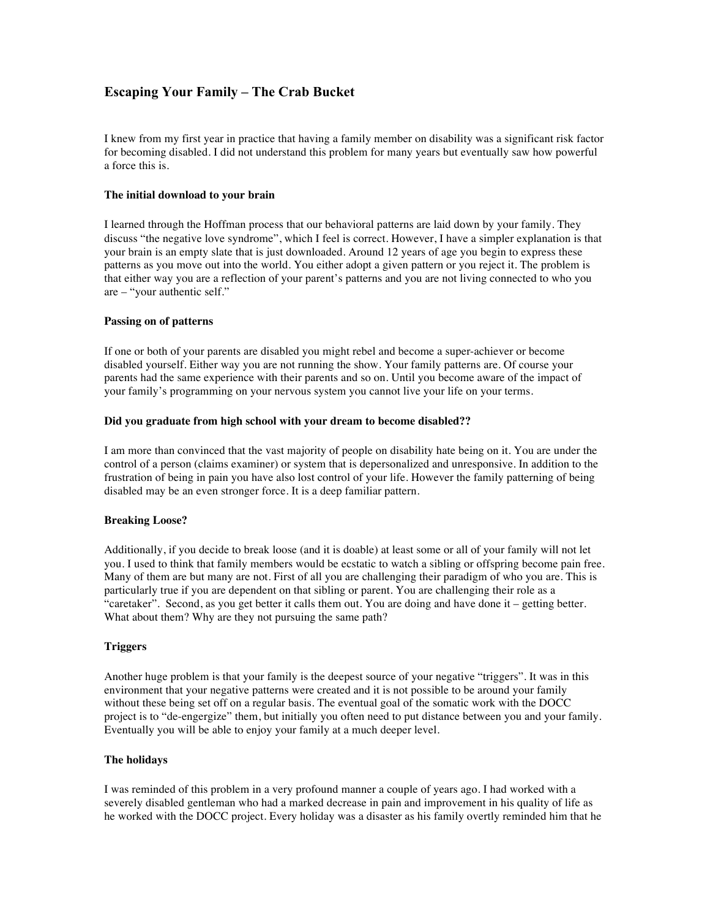# **Escaping Your Family – The Crab Bucket**

I knew from my first year in practice that having a family member on disability was a significant risk factor for becoming disabled. I did not understand this problem for many years but eventually saw how powerful a force this is.

## **The initial download to your brain**

I learned through the Hoffman process that our behavioral patterns are laid down by your family. They discuss "the negative love syndrome", which I feel is correct. However, I have a simpler explanation is that your brain is an empty slate that is just downloaded. Around 12 years of age you begin to express these patterns as you move out into the world. You either adopt a given pattern or you reject it. The problem is that either way you are a reflection of your parent's patterns and you are not living connected to who you are – "your authentic self."

# **Passing on of patterns**

If one or both of your parents are disabled you might rebel and become a super-achiever or become disabled yourself. Either way you are not running the show. Your family patterns are. Of course your parents had the same experience with their parents and so on. Until you become aware of the impact of your family's programming on your nervous system you cannot live your life on your terms.

## **Did you graduate from high school with your dream to become disabled??**

I am more than convinced that the vast majority of people on disability hate being on it. You are under the control of a person (claims examiner) or system that is depersonalized and unresponsive. In addition to the frustration of being in pain you have also lost control of your life. However the family patterning of being disabled may be an even stronger force. It is a deep familiar pattern.

#### **Breaking Loose?**

Additionally, if you decide to break loose (and it is doable) at least some or all of your family will not let you. I used to think that family members would be ecstatic to watch a sibling or offspring become pain free. Many of them are but many are not. First of all you are challenging their paradigm of who you are. This is particularly true if you are dependent on that sibling or parent. You are challenging their role as a "caretaker". Second, as you get better it calls them out. You are doing and have done it – getting better. What about them? Why are they not pursuing the same path?

#### **Triggers**

Another huge problem is that your family is the deepest source of your negative "triggers". It was in this environment that your negative patterns were created and it is not possible to be around your family without these being set off on a regular basis. The eventual goal of the somatic work with the DOCC project is to "de-engergize" them, but initially you often need to put distance between you and your family. Eventually you will be able to enjoy your family at a much deeper level.

#### **The holidays**

I was reminded of this problem in a very profound manner a couple of years ago. I had worked with a severely disabled gentleman who had a marked decrease in pain and improvement in his quality of life as he worked with the DOCC project. Every holiday was a disaster as his family overtly reminded him that he